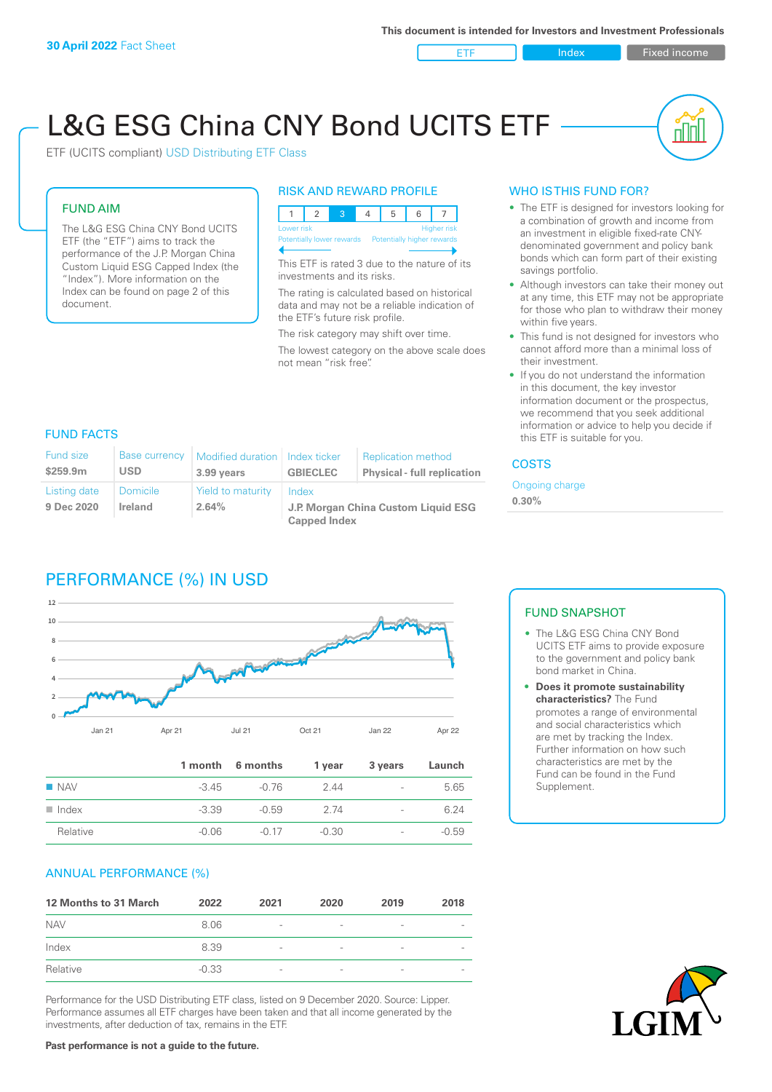ETF Index Fixed income

nn

# L&G ESG China CNY Bond UCITS ETF

ETF (UCITS compliant) USD Distributing ETF Class

### FUND AIM

The L&G ESG China CNY Bond UCITS ETF (the "ETF") aims to track the performance of the J.P. Morgan China Custom Liquid ESG Capped Index (the "Index"). More information on the Index can be found on page 2 of this document.

### RISK AND REWARD PROFILE



This ETF is rated 3 due to the nature of its investments and its risks.

The rating is calculated based on historical data and may not be a reliable indication of the ETF's future risk profile.

The risk category may shift over time. The lowest category on the above scale does not mean "risk free".

### WHO IS THIS FUND FOR?

- The ETF is designed for investors looking for a combination of growth and income from an investment in eligible fixed-rate CNYdenominated government and policy bank bonds which can form part of their existing savings portfolio.
- Although investors can take their money out at any time, this ETF may not be appropriate for those who plan to withdraw their money within five years.
- This fund is not designed for investors who cannot afford more than a minimal loss of their investment.
- If you do not understand the information in this document, the key investor information document or the prospectus, we recommend that you seek additional information or advice to help you decide if this ETF is suitable for you.

### FUND FACTS

| <b>Fund size</b><br>\$259.9m | <b>Base currency</b><br><b>USD</b> | Modified duration   Index ticker<br>3.99 years | <b>GBIECLEC</b>                              | <b>Replication method</b><br><b>Physical - full replication</b> | <b>COSTS</b> |  |
|------------------------------|------------------------------------|------------------------------------------------|----------------------------------------------|-----------------------------------------------------------------|--------------|--|
| Listing date<br>9 Dec 2020   | Domicile<br><b>Ireland</b>         | Yield to maturity<br>2.64%                     | Index<br>J.P. Morgan China Custom Liquid ESG | Ongoing charge<br>$0.30\%$                                      |              |  |
|                              |                                    |                                                | <b>Capped Index</b>                          |                                                                 |              |  |

## PERFORMANCE (%) IN USD



|                      |         | 1 month 6 months | 1 year  | 3 years                  | Launch  |
|----------------------|---------|------------------|---------|--------------------------|---------|
| $\blacksquare$ NAV   | $-345$  | -0.76            | 2.44    | $\overline{\phantom{a}}$ | 5.65    |
| $\blacksquare$ Index | $-3.39$ | $-0.59$          | 2 74    | $\overline{\phantom{0}}$ | 6.24    |
| Relative             | $-0.06$ | $-0.17$          | $-0.30$ | $\overline{\phantom{a}}$ | $-0.59$ |

### ANNUAL PERFORMANCE (%)

| 12 Months to 31 March | 2022    | 2021                     | 2020                     | 2019                     | 2018                     |
|-----------------------|---------|--------------------------|--------------------------|--------------------------|--------------------------|
| <b>NAV</b>            | 8.06    | $\overline{\phantom{a}}$ | $\overline{\phantom{a}}$ | $\qquad \qquad$          | $\overline{\phantom{a}}$ |
| Index                 | 8.39    | $\overline{\phantom{a}}$ | $\overline{\phantom{a}}$ | $\qquad \qquad$          |                          |
| Relative              | $-0.33$ | $\overline{\phantom{a}}$ | $\overline{\phantom{a}}$ | $\overline{\phantom{0}}$ |                          |

Performance for the USD Distributing ETF class, listed on 9 December 2020. Source: Lipper. Performance assumes all ETF charges have been taken and that all income generated by the investments, after deduction of tax, remains in the ETF.

### FUND SNAPSHOT

- The L&G ESG China CNY Bond UCITS ETF aims to provide exposure to the government and policy bank bond market in China.
- **• Does it promote sustainability characteristics?** The Fund promotes a range of environmental and social characteristics which are met by tracking the Index. Further information on how such characteristics are met by the Fund can be found in the Fund Supplement.



**Past performance is not a guide to the future.**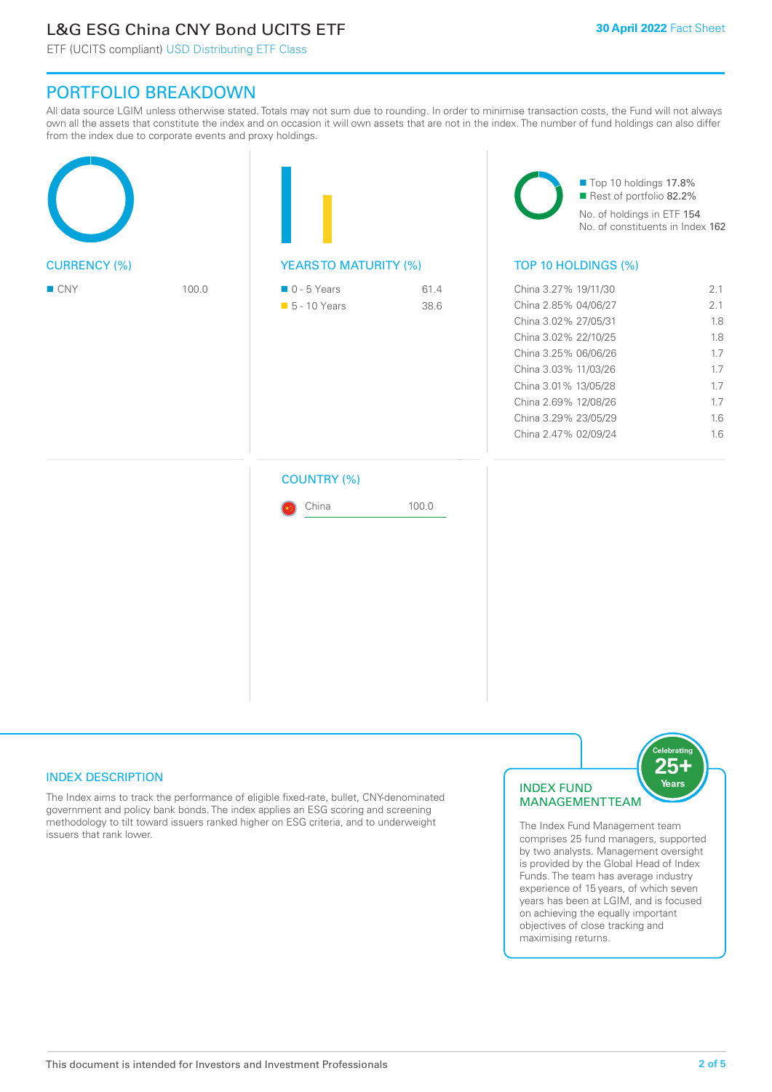# L&G ESG China CNY Bond UCITS ETF

ETF (UCITS compliant) USD Distributing ETF Class

### PORTFOLIO BREAKDOWN

All data source LGIM unless otherwise stated. Totals may not sum due to rounding. In order to minimise transaction costs, the Fund will not always own all the assets that constitute the index and on occasion it will own assets that are not in the index. The number of fund holdings can also differ from the index due to corporate events and proxy holdings.

| <b>CURRENCY (%)</b> |  | <b>YEARSTO MATURITY (%)</b> |       | Top 10 holdings 17.8%<br>Rest of portfolio 82.2%<br>No. of holdings in ETF 154<br>No. of constituents in Index 162<br>TOP 10 HOLDINGS (%) |  |  |
|---------------------|--|-----------------------------|-------|-------------------------------------------------------------------------------------------------------------------------------------------|--|--|
|                     |  |                             |       |                                                                                                                                           |  |  |
|                     |  | <b>COUNTRY (%)</b><br>China | 100.0 |                                                                                                                                           |  |  |

### INDEX DESCRIPTION

The Index aims to track the performance of eligible fixed-rate, bullet, CNY-denominated government and policy bank bonds. The index applies an ESG scoring and screening methodology to tilt toward issuers ranked higher on ESG criteria, and to underweight issuers that rank lower.

### INDEX FUND MANAGEMENT TEAM



The Index Fund Management team comprises 25 fund managers, supported by two analysts. Management oversight is provided by the Global Head of Index Funds. The team has average industry experience of 15 years, of which seven years has been at LGIM, and is focused on achieving the equally important objectives of close tracking and maximising returns.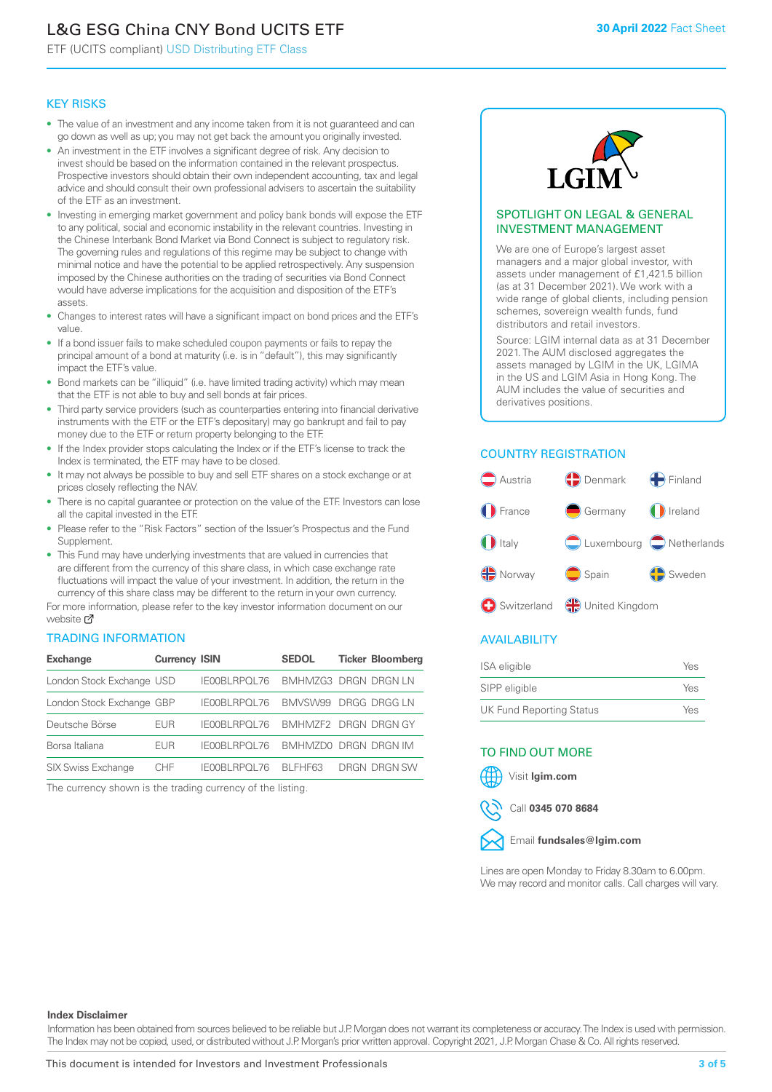# L&G ESG China CNY Bond UCITS ETF

ETF (UCITS compliant) USD Distributing ETF Class

#### KEY RISKS

- The value of an investment and any income taken from it is not guaranteed and can go down as well as up; you may not get back the amount you originally invested.
- An investment in the ETF involves a significant degree of risk. Any decision to invest should be based on the information contained in the relevant prospectus. Prospective investors should obtain their own independent accounting, tax and legal advice and should consult their own professional advisers to ascertain the suitability of the ETF as an investment.
- Investing in emerging market government and policy bank bonds will expose the ETF to any political, social and economic instability in the relevant countries. Investing in the Chinese Interbank Bond Market via Bond Connect is subject to regulatory risk. The governing rules and regulations of this regime may be subject to change with minimal notice and have the potential to be applied retrospectively. Any suspension imposed by the Chinese authorities on the trading of securities via Bond Connect would have adverse implications for the acquisition and disposition of the ETF's assets.
- Changes to interest rates will have a significant impact on bond prices and the ETF's value.
- If a bond issuer fails to make scheduled coupon payments or fails to repay the principal amount of a bond at maturity (i.e. is in "default"), this may significantly impact the ETF's value.
- Bond markets can be "illiquid" (i.e. have limited trading activity) which may mean that the ETF is not able to buy and sell bonds at fair prices.
- Third party service providers (such as counterparties entering into financial derivative instruments with the ETF or the ETF's depositary) may go bankrupt and fail to pay money due to the ETF or return property belonging to the ETF.
- If the Index provider stops calculating the Index or if the ETF's license to track the Index is terminated, the ETF may have to be closed.
- It may not always be possible to buy and sell ETF shares on a stock exchange or at prices closely reflecting the NAV.
- There is no capital guarantee or protection on the value of the ETF. Investors can lose all the capital invested in the ETF.
- Please refer to the "Risk Factors" section of the Issuer's Prospectus and the Fund Supplement.
- This Fund may have underlying investments that are valued in currencies that are different from the currency of this share class, in which case exchange rate fluctuations will impact the value of your investment. In addition, the return in the currency of this share class may be different to the return in your own currency.

For mo[re inf](https://www.lgimetf.com/)ormation, please refer to the key investor information document on our website ぴ

#### TRADING INFORMATION

| <b>Exchange</b>           | <b>Currency ISIN</b> |              | <b>SEDOL</b>         | <b>Ticker Bloomberg</b> |
|---------------------------|----------------------|--------------|----------------------|-------------------------|
| London Stock Exchange USD |                      | IE00BLRPOL76 | BMHMZG3 DRGN DRGN LN |                         |
| London Stock Exchange GBP |                      | IE00BLRPOL76 | BMVSW99 DRGG DRGG LN |                         |
| Deutsche Börse            | <b>EUR</b>           | IE00BLRPOL76 | BMHMZF2 DRGN DRGN GY |                         |
| Borsa Italiana            | EUR                  | IE00BLRPOL76 | BMHMZD0 DRGN DRGN IM |                         |
| <b>SIX Swiss Exchange</b> | CHE                  | IE00BLRPOL76 | BI FHF63             | DRGN DRGN SW            |

The currency shown is the trading currency of the listing.



#### SPOTLIGHT ON LEGAL & GENERAL INVESTMENT MANAGEMENT

We are one of Europe's largest asset managers and a major global investor, with assets under management of £1,421.5 billion (as at 31 December 2021). We work with a wide range of global clients, including pension schemes, sovereign wealth funds, fund distributors and retail investors.

Source: LGIM internal data as at 31 December 2021. The AUM disclosed aggregates the assets managed by LGIM in the UK, LGIMA in the US and LGIM Asia in Hong Kong. The AUM includes the value of securities and derivatives positions.

### COUNTRY REGISTRATION



### AVAILABILITY

| <b>ISA</b> eligible      | Yes |
|--------------------------|-----|
| SIPP eligible            | Yes |
| UK Fund Reporting Status | Yes |

### TO FIND OUT MORE





Call **0345 070 8684**



Lines are open Monday to Friday 8.30am to 6.00pm. We may record and monitor calls. Call charges will vary.

#### **Index Disclaimer**

Information has been obtained from sources believed to be reliable but J.P. Morgan does not warrant its completeness or accuracy. The Index is used with permission. The Index may not be copied, used, or distributed without J.P. Morgan's prior written approval. Copyright 2021, J.P. Morgan Chase & Co. All rights reserved.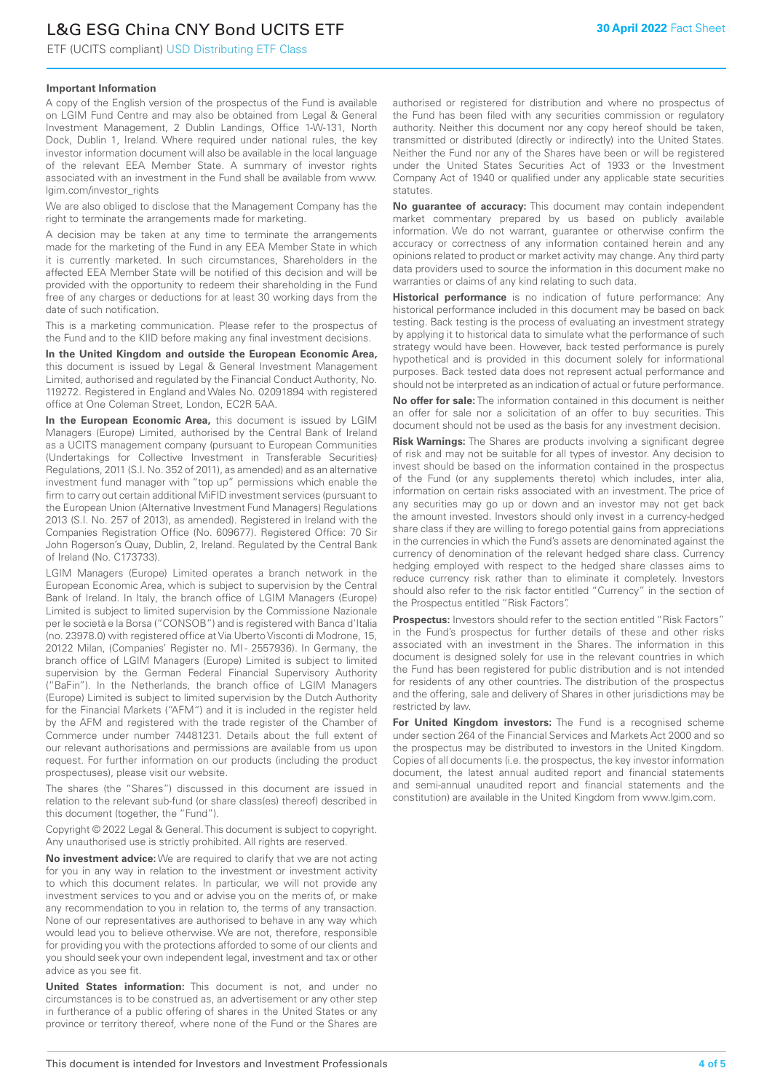# L&G ESG China CNY Bond UCITS ETF

ETF (UCITS compliant) USD Distributing ETF Class

### **Important Information**

A copy of the English version of the prospectus of the Fund is available on LGIM Fund Centre and may also be obtained from Legal & General Investment Management, 2 Dublin Landings, Office 1-W-131, North Dock, Dublin 1, Ireland. Where required under national rules, the key investor information document will also be available in the local language of the relevant EEA Member State. A summary of investor rights associated with an investment in the Fund shall be available from www. lgim.com/investor\_rights

We are also obliged to disclose that the Management Company has the right to terminate the arrangements made for marketing.

A decision may be taken at any time to terminate the arrangements made for the marketing of the Fund in any EEA Member State in which it is currently marketed. In such circumstances, Shareholders in the affected EEA Member State will be notified of this decision and will be provided with the opportunity to redeem their shareholding in the Fund free of any charges or deductions for at least 30 working days from the date of such notification.

This is a marketing communication. Please refer to the prospectus of the Fund and to the KIID before making any final investment decisions.

**In the United Kingdom and outside the European Economic Area,** this document is issued by Legal & General Investment Management Limited, authorised and regulated by the Financial Conduct Authority, No. 119272. Registered in England and Wales No. 02091894 with registered office at One Coleman Street, London, EC2R 5AA.

**In the European Economic Area,** this document is issued by LGIM Managers (Europe) Limited, authorised by the Central Bank of Ireland as a UCITS management company (pursuant to European Communities (Undertakings for Collective Investment in Transferable Securities) Regulations, 2011 (S.I. No. 352 of 2011), as amended) and as an alternative investment fund manager with "top up" permissions which enable the firm to carry out certain additional MiFID investment services (pursuant to the European Union (Alternative Investment Fund Managers) Regulations 2013 (S.I. No. 257 of 2013), as amended). Registered in Ireland with the Companies Registration Office (No. 609677). Registered Office: 70 Sir John Rogerson's Quay, Dublin, 2, Ireland. Regulated by the Central Bank of Ireland (No. C173733).

LGIM Managers (Europe) Limited operates a branch network in the European Economic Area, which is subject to supervision by the Central Bank of Ireland. In Italy, the branch office of LGIM Managers (Europe) Limited is subject to limited supervision by the Commissione Nazionale per le società e la Borsa ("CONSOB") and is registered with Banca d'Italia (no. 23978.0) with registered office at Via Uberto Visconti di Modrone, 15, 20122 Milan, (Companies' Register no. MI - 2557936). In Germany, the branch office of LGIM Managers (Europe) Limited is subject to limited supervision by the German Federal Financial Supervisory Authority ("BaFin"). In the Netherlands, the branch office of LGIM Managers (Europe) Limited is subject to limited supervision by the Dutch Authority for the Financial Markets ("AFM") and it is included in the register held by the AFM and registered with the trade register of the Chamber of Commerce under number 74481231. Details about the full extent of our relevant authorisations and permissions are available from us upon request. For further information on our products (including the product prospectuses), please visit our website.

The shares (the "Shares") discussed in this document are issued in relation to the relevant sub-fund (or share class(es) thereof) described in this document (together, the "Fund").

Copyright © 2022 Legal & General. This document is subject to copyright. Any unauthorised use is strictly prohibited. All rights are reserved.

**No investment advice:** We are required to clarify that we are not acting for you in any way in relation to the investment or investment activity to which this document relates. In particular, we will not provide any investment services to you and or advise you on the merits of, or make any recommendation to you in relation to, the terms of any transaction. None of our representatives are authorised to behave in any way which would lead you to believe otherwise. We are not, therefore, responsible for providing you with the protections afforded to some of our clients and you should seek your own independent legal, investment and tax or other advice as you see fit.

**United States information:** This document is not, and under no circumstances is to be construed as, an advertisement or any other step in furtherance of a public offering of shares in the United States or any province or territory thereof, where none of the Fund or the Shares are authorised or registered for distribution and where no prospectus of the Fund has been filed with any securities commission or regulatory authority. Neither this document nor any copy hereof should be taken, transmitted or distributed (directly or indirectly) into the United States. Neither the Fund nor any of the Shares have been or will be registered under the United States Securities Act of 1933 or the Investment Company Act of 1940 or qualified under any applicable state securities statutes.

**No guarantee of accuracy:** This document may contain independent market commentary prepared by us based on publicly available information. We do not warrant, guarantee or otherwise confirm the accuracy or correctness of any information contained herein and any opinions related to product or market activity may change. Any third party data providers used to source the information in this document make no warranties or claims of any kind relating to such data.

**Historical performance** is no indication of future performance: Any historical performance included in this document may be based on back testing. Back testing is the process of evaluating an investment strategy by applying it to historical data to simulate what the performance of such strategy would have been. However, back tested performance is purely hypothetical and is provided in this document solely for informational purposes. Back tested data does not represent actual performance and should not be interpreted as an indication of actual or future performance.

**No offer for sale:** The information contained in this document is neither an offer for sale nor a solicitation of an offer to buy securities. This document should not be used as the basis for any investment decision.

**Risk Warnings:** The Shares are products involving a significant degree of risk and may not be suitable for all types of investor. Any decision to invest should be based on the information contained in the prospectus of the Fund (or any supplements thereto) which includes, inter alia, information on certain risks associated with an investment. The price of any securities may go up or down and an investor may not get back the amount invested. Investors should only invest in a currency-hedged share class if they are willing to forego potential gains from appreciations in the currencies in which the Fund's assets are denominated against the currency of denomination of the relevant hedged share class. Currency hedging employed with respect to the hedged share classes aims to reduce currency risk rather than to eliminate it completely. Investors should also refer to the risk factor entitled "Currency" in the section of the Prospectus entitled "Risk Factors".

**Prospectus:** Investors should refer to the section entitled "Risk Factors" in the Fund's prospectus for further details of these and other risks associated with an investment in the Shares. The information in this document is designed solely for use in the relevant countries in which the Fund has been registered for public distribution and is not intended for residents of any other countries. The distribution of the prospectus and the offering, sale and delivery of Shares in other jurisdictions may be restricted by law.

**For United Kingdom investors:** The Fund is a recognised scheme under section 264 of the Financial Services and Markets Act 2000 and so the prospectus may be distributed to investors in the United Kingdom. Copies of all documents (i.e. the prospectus, the key investor information document, the latest annual audited report and financial statements and semi-annual unaudited report and financial statements and the constitution) are available in the United Kingdom from www.lgim.com.